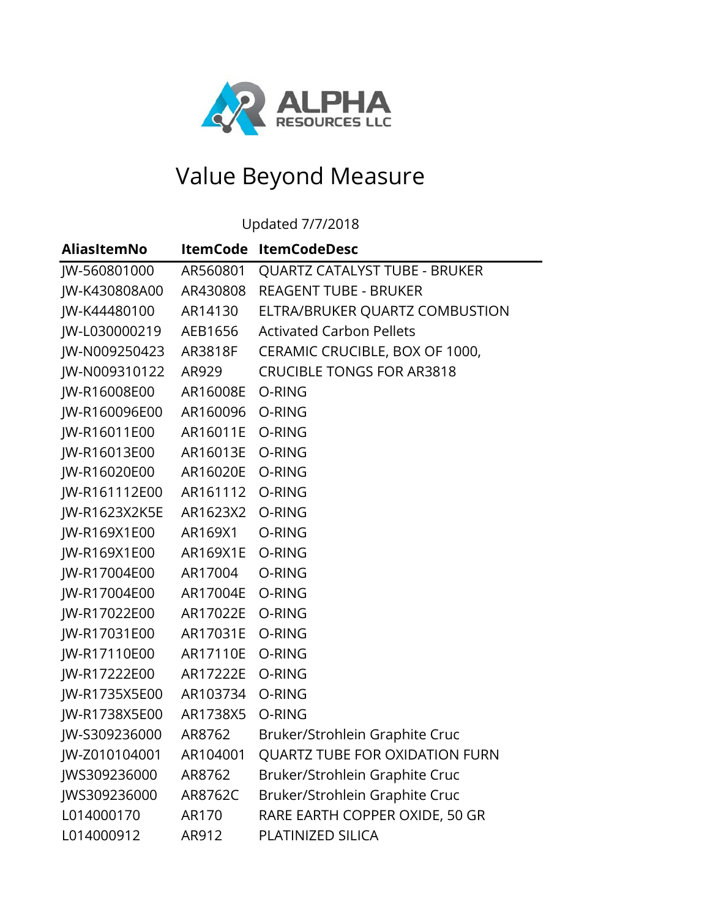

## Value Beyond Measure

Updated 7/7/2018

| <b>AliasItemNo</b> | <b>ItemCode</b> | <b>ItemCodeDesc</b>              |
|--------------------|-----------------|----------------------------------|
| JW-560801000       | AR560801        | QUARTZ CATALYST TUBE - BRUKER    |
| JW-K430808A00      | AR430808        | <b>REAGENT TUBE - BRUKER</b>     |
| JW-K44480100       | AR14130         | ELTRA/BRUKER QUARTZ COMBUSTION   |
| JW-L030000219      | AEB1656         | <b>Activated Carbon Pellets</b>  |
| JW-N009250423      | AR3818F         | CERAMIC CRUCIBLE, BOX OF 1000,   |
| JW-N009310122      | AR929           | <b>CRUCIBLE TONGS FOR AR3818</b> |
| JW-R16008E00       | AR16008E        | O-RING                           |
| JW-R160096E00      | AR160096        | O-RING                           |
| JW-R16011E00       | AR16011E        | O-RING                           |
| JW-R16013E00       | AR16013E        | O-RING                           |
| JW-R16020E00       | AR16020E        | O-RING                           |
| JW-R161112E00      | AR161112        | O-RING                           |
| JW-R1623X2K5E      | AR1623X2        | O-RING                           |
| JW-R169X1E00       | AR169X1         | O-RING                           |
| JW-R169X1E00       | AR169X1E        | O-RING                           |
| JW-R17004E00       | AR17004         | O-RING                           |
| JW-R17004E00       | AR17004E        | O-RING                           |
| JW-R17022E00       | AR17022E        | O-RING                           |
| JW-R17031E00       | AR17031E        | O-RING                           |
| JW-R17110E00       | AR17110E        | O-RING                           |
| JW-R17222E00       | AR17222E        | O-RING                           |
| JW-R1735X5E00      | AR103734        | O-RING                           |
| JW-R1738X5E00      | AR1738X5        | O-RING                           |
| JW-S309236000      | AR8762          | Bruker/Strohlein Graphite Cruc   |
| JW-Z010104001      | AR104001        | QUARTZ TUBE FOR OXIDATION FURN   |
| JWS309236000       | AR8762          | Bruker/Strohlein Graphite Cruc   |
| JWS309236000       | AR8762C         | Bruker/Strohlein Graphite Cruc   |
| L014000170         | AR170           | RARE EARTH COPPER OXIDE, 50 GR   |
| L014000912         | AR912           | PLATINIZED SILICA                |